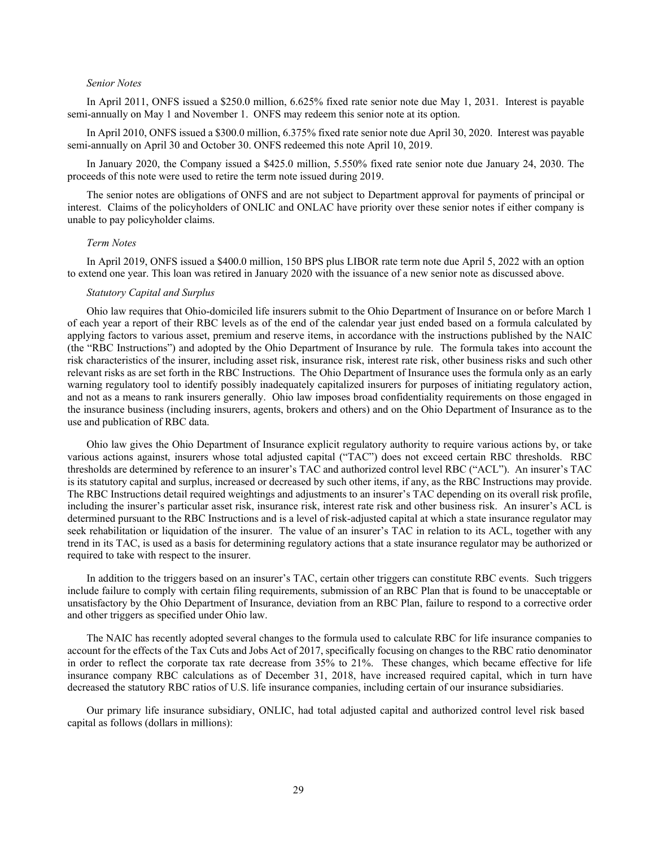## *Senior Notes*

In April 2011, ONFS issued a \$250.0 million, 6.625% fixed rate senior note due May 1, 2031. Interest is payable semi-annually on May 1 and November 1. ONFS may redeem this senior note at its option.

In April 2010, ONFS issued a \$300.0 million, 6.375% fixed rate senior note due April 30, 2020. Interest was payable semi-annually on April 30 and October 30. ONFS redeemed this note April 10, 2019.

In January 2020, the Company issued a \$425.0 million, 5.550% fixed rate senior note due January 24, 2030. The proceeds of this note were used to retire the term note issued during 2019.

The senior notes are obligations of ONFS and are not subject to Department approval for payments of principal or interest. Claims of the policyholders of ONLIC and ONLAC have priority over these senior notes if either company is unable to pay policyholder claims.

## *Term Notes*

In April 2019, ONFS issued a \$400.0 million, 150 BPS plus LIBOR rate term note due April 5, 2022 with an option to extend one year. This loan was retired in January 2020 with the issuance of a new senior note as discussed above.

## *Statutory Capital and Surplus*

Ohio law requires that Ohio-domiciled life insurers submit to the Ohio Department of Insurance on or before March 1 of each year a report of their RBC levels as of the end of the calendar year just ended based on a formula calculated by applying factors to various asset, premium and reserve items, in accordance with the instructions published by the NAIC (the "RBC Instructions") and adopted by the Ohio Department of Insurance by rule. The formula takes into account the risk characteristics of the insurer, including asset risk, insurance risk, interest rate risk, other business risks and such other relevant risks as are set forth in the RBC Instructions. The Ohio Department of Insurance uses the formula only as an early warning regulatory tool to identify possibly inadequately capitalized insurers for purposes of initiating regulatory action, and not as a means to rank insurers generally. Ohio law imposes broad confidentiality requirements on those engaged in the insurance business (including insurers, agents, brokers and others) and on the Ohio Department of Insurance as to the use and publication of RBC data.

Ohio law gives the Ohio Department of Insurance explicit regulatory authority to require various actions by, or take various actions against, insurers whose total adjusted capital ("TAC") does not exceed certain RBC thresholds. RBC thresholds are determined by reference to an insurer's TAC and authorized control level RBC ("ACL"). An insurer's TAC is its statutory capital and surplus, increased or decreased by such other items, if any, as the RBC Instructions may provide. The RBC Instructions detail required weightings and adjustments to an insurer's TAC depending on its overall risk profile, including the insurer's particular asset risk, insurance risk, interest rate risk and other business risk. An insurer's ACL is determined pursuant to the RBC Instructions and is a level of risk-adjusted capital at which a state insurance regulator may seek rehabilitation or liquidation of the insurer. The value of an insurer's TAC in relation to its ACL, together with any trend in its TAC, is used as a basis for determining regulatory actions that a state insurance regulator may be authorized or required to take with respect to the insurer.

In addition to the triggers based on an insurer's TAC, certain other triggers can constitute RBC events. Such triggers include failure to comply with certain filing requirements, submission of an RBC Plan that is found to be unacceptable or unsatisfactory by the Ohio Department of Insurance, deviation from an RBC Plan, failure to respond to a corrective order and other triggers as specified under Ohio law.

The NAIC has recently adopted several changes to the formula used to calculate RBC for life insurance companies to account for the effects of the Tax Cuts and Jobs Act of 2017, specifically focusing on changes to the RBC ratio denominator in order to reflect the corporate tax rate decrease from 35% to 21%. These changes, which became effective for life insurance company RBC calculations as of December 31, 2018, have increased required capital, which in turn have decreased the statutory RBC ratios of U.S. life insurance companies, including certain of our insurance subsidiaries.

Our primary life insurance subsidiary, ONLIC, had total adjusted capital and authorized control level risk based capital as follows (dollars in millions):